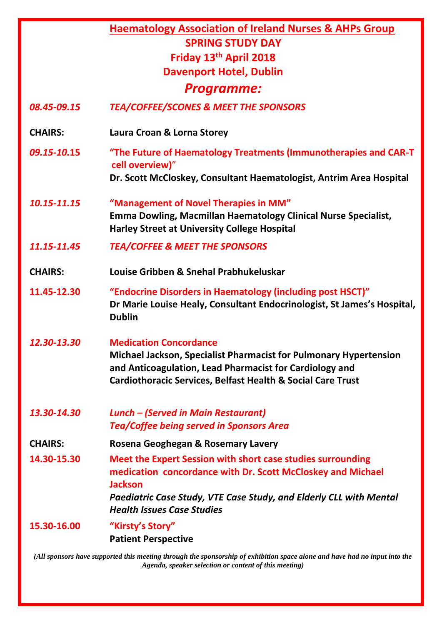|                   | <b>Haematology Association of Ireland Nurses &amp; AHPs Group</b>                                                                                                                                                                                       |
|-------------------|---------------------------------------------------------------------------------------------------------------------------------------------------------------------------------------------------------------------------------------------------------|
|                   | <b>SPRING STUDY DAY</b>                                                                                                                                                                                                                                 |
|                   | Friday 13th April 2018                                                                                                                                                                                                                                  |
|                   | <b>Davenport Hotel, Dublin</b>                                                                                                                                                                                                                          |
| <b>Programme:</b> |                                                                                                                                                                                                                                                         |
| 08.45-09.15       | <b>TEA/COFFEE/SCONES &amp; MEET THE SPONSORS</b>                                                                                                                                                                                                        |
| <b>CHAIRS:</b>    | Laura Croan & Lorna Storey                                                                                                                                                                                                                              |
| 09.15-10.15       | "The Future of Haematology Treatments (Immunotherapies and CAR-T<br>cell overview)"                                                                                                                                                                     |
|                   | Dr. Scott McCloskey, Consultant Haematologist, Antrim Area Hospital                                                                                                                                                                                     |
| 10.15-11.15       | "Management of Novel Therapies in MM"<br><b>Emma Dowling, Macmillan Haematology Clinical Nurse Specialist,</b><br><b>Harley Street at University College Hospital</b>                                                                                   |
| 11.15-11.45       | <b>TEA/COFFEE &amp; MEET THE SPONSORS</b>                                                                                                                                                                                                               |
| <b>CHAIRS:</b>    | Louise Gribben & Snehal Prabhukeluskar                                                                                                                                                                                                                  |
| 11.45-12.30       | "Endocrine Disorders in Haematology (including post HSCT)"<br>Dr Marie Louise Healy, Consultant Endocrinologist, St James's Hospital,<br><b>Dublin</b>                                                                                                  |
| 12.30-13.30       | <b>Medication Concordance</b><br><b>Michael Jackson, Specialist Pharmacist for Pulmonary Hypertension</b><br>and Anticoagulation, Lead Pharmacist for Cardiology and<br><b>Cardiothoracic Services, Belfast Health &amp; Social Care Trust</b>          |
| 13.30-14.30       | <b>Lunch - (Served in Main Restaurant)</b><br><b>Tea/Coffee being served in Sponsors Area</b>                                                                                                                                                           |
| <b>CHAIRS:</b>    | Rosena Geoghegan & Rosemary Lavery                                                                                                                                                                                                                      |
| 14.30-15.30       | Meet the Expert Session with short case studies surrounding<br>medication concordance with Dr. Scott McCloskey and Michael<br><b>Jackson</b><br>Paediatric Case Study, VTE Case Study, and Elderly CLL with Mental<br><b>Health Issues Case Studies</b> |
| 15.30-16.00       | "Kirsty's Story"<br><b>Patient Perspective</b>                                                                                                                                                                                                          |

*(All sponsors have supported this meeting through the sponsorship of exhibition space alone and have had no input into the Agenda, speaker selection or content of this meeting)*